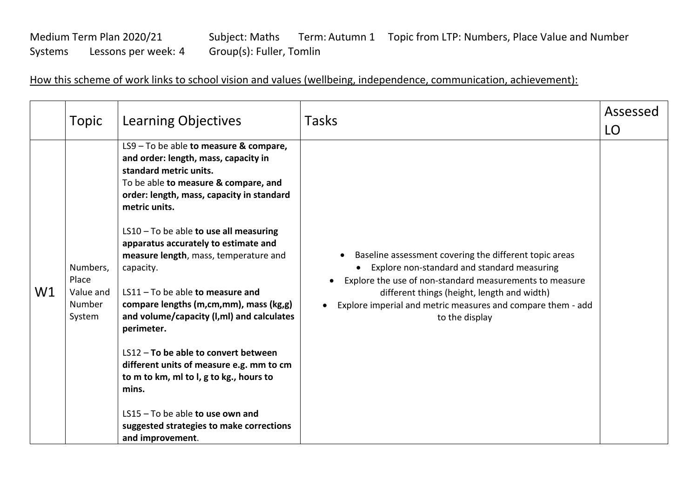## Medium Term Plan 2020/21 Subject: Maths Term: Autumn 1 Topic from LTP: Numbers, Place Value and Number<br>Systems Lessons per week: 4 Group(s): Fuller, Tomlin Systems Lessons per week: 4 Group(s): Fuller, Tomlin

How this scheme of work links to school vision and values (wellbeing, independence, communication, achievement):

|    | Topic                                              | <b>Learning Objectives</b>                                                                                                                                                                                                                                                                                                                                                                                                                                                                                                                                                                                                                                                      | Tasks                                                                                                                                                                                                                                                                                                                      | Assessed<br>LO |
|----|----------------------------------------------------|---------------------------------------------------------------------------------------------------------------------------------------------------------------------------------------------------------------------------------------------------------------------------------------------------------------------------------------------------------------------------------------------------------------------------------------------------------------------------------------------------------------------------------------------------------------------------------------------------------------------------------------------------------------------------------|----------------------------------------------------------------------------------------------------------------------------------------------------------------------------------------------------------------------------------------------------------------------------------------------------------------------------|----------------|
| W1 | Numbers,<br>Place<br>Value and<br>Number<br>System | LS9 - To be able to measure & compare,<br>and order: length, mass, capacity in<br>standard metric units.<br>To be able to measure & compare, and<br>order: length, mass, capacity in standard<br>metric units.<br>$LS10 - To$ be able to use all measuring<br>apparatus accurately to estimate and<br>measure length, mass, temperature and<br>capacity.<br>$LS11 - To be able to measure and$<br>compare lengths (m,cm,mm), mass (kg,g)<br>and volume/capacity (I,mI) and calculates<br>perimeter.<br>LS12 - To be able to convert between<br>different units of measure e.g. mm to cm<br>to m to km, ml to l, g to kg., hours to<br>mins.<br>LS15 - To be able to use own and | Baseline assessment covering the different topic areas<br>$\bullet$<br>Explore non-standard and standard measuring<br>Explore the use of non-standard measurements to measure<br>different things (height, length and width)<br>Explore imperial and metric measures and compare them - add<br>$\bullet$<br>to the display |                |
|    |                                                    | suggested strategies to make corrections<br>and improvement.                                                                                                                                                                                                                                                                                                                                                                                                                                                                                                                                                                                                                    |                                                                                                                                                                                                                                                                                                                            |                |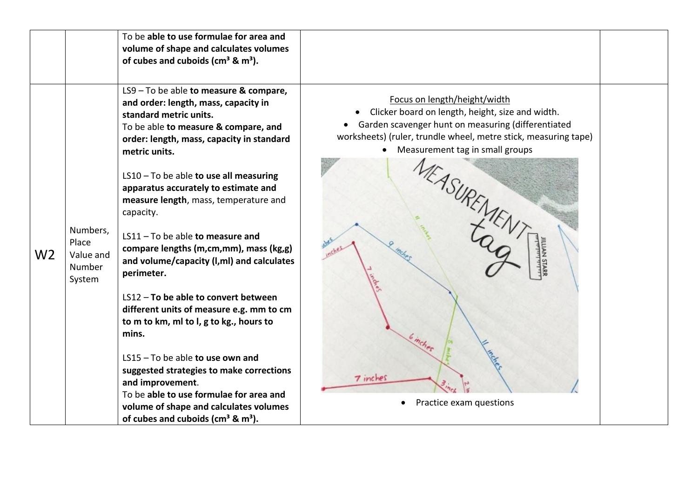| LS9 - To be able to measure & compare,<br>Focus on length/height/width<br>and order: length, mass, capacity in<br>Clicker board on length, height, size and width.<br>$\bullet$<br>standard metric units.<br>• Garden scavenger hunt on measuring (differentiated<br>To be able to measure & compare, and<br>worksheets) (ruler, trundle wheel, metre stick, measuring tape)<br>order: length, mass, capacity in standard<br>Measurement tag in small groups<br>metric units.<br>$LS10 - To$ be able to use all measuring<br>apparatus accurately to estimate and<br>measure length, mass, temperature and<br>capacity.                   |          | To be able to use formulae for area and<br>volume of shape and calculates volumes<br>of cubes and cuboids ( $cm3$ & $m3$ ). |  |
|-------------------------------------------------------------------------------------------------------------------------------------------------------------------------------------------------------------------------------------------------------------------------------------------------------------------------------------------------------------------------------------------------------------------------------------------------------------------------------------------------------------------------------------------------------------------------------------------------------------------------------------------|----------|-----------------------------------------------------------------------------------------------------------------------------|--|
| LS11 - To be able to measure and<br>Place<br>compare lengths (m,cm,mm), mass (kg,g)<br>W <sub>2</sub><br>Value and<br>and volume/capacity (I,mI) and calculates<br><b>Number</b><br>perimeter.<br>System<br>LS12 - To be able to convert between<br>different units of measure e.g. mm to cm<br>to m to km, ml to l, g to kg., hours to<br>mins.<br>$LS15 - To be able to use own and$<br>suggested strategies to make corrections<br>7 inches<br>and improvement.<br>To be able to use formulae for area and<br>Practice exam questions<br>$\bullet$<br>volume of shape and calculates volumes<br>of cubes and cuboids ( $cm3$ & $m3$ ). | Numbers, |                                                                                                                             |  |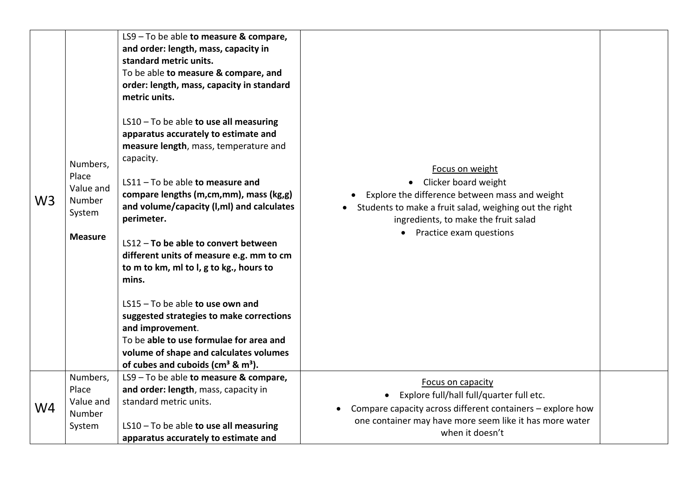| W <sub>3</sub> | Numbers,<br>Place<br>Value and<br>Number<br>System<br><b>Measure</b><br>Numbers, | LS9 - To be able to measure & compare,<br>and order: length, mass, capacity in<br>standard metric units.<br>To be able to measure & compare, and<br>order: length, mass, capacity in standard<br>metric units.<br>$LS10 - To$ be able to use all measuring<br>apparatus accurately to estimate and<br>measure length, mass, temperature and<br>capacity.<br>$LS11 - To be able to measure and$<br>compare lengths (m,cm,mm), mass (kg,g)<br>and volume/capacity (I,mI) and calculates<br>perimeter.<br>LS12 - To be able to convert between<br>different units of measure e.g. mm to cm<br>to m to km, ml to l, g to kg., hours to<br>mins.<br>$LS15 - To be able to use own and$<br>suggested strategies to make corrections<br>and improvement.<br>To be able to use formulae for area and<br>volume of shape and calculates volumes<br>of cubes and cuboids ( $cm3$ & $m3$ ).<br>LS9 - To be able to measure & compare, | Focus on weight<br>• Clicker board weight<br>Explore the difference between mass and weight<br>Students to make a fruit salad, weighing out the right<br>ingredients, to make the fruit salad<br>Practice exam questions<br>$\bullet$ |  |
|----------------|----------------------------------------------------------------------------------|----------------------------------------------------------------------------------------------------------------------------------------------------------------------------------------------------------------------------------------------------------------------------------------------------------------------------------------------------------------------------------------------------------------------------------------------------------------------------------------------------------------------------------------------------------------------------------------------------------------------------------------------------------------------------------------------------------------------------------------------------------------------------------------------------------------------------------------------------------------------------------------------------------------------------|---------------------------------------------------------------------------------------------------------------------------------------------------------------------------------------------------------------------------------------|--|
| W <sub>4</sub> | Place<br>Value and<br>Number<br>System                                           | and order: length, mass, capacity in<br>standard metric units.<br>$LS10 - To$ be able to use all measuring<br>apparatus accurately to estimate and                                                                                                                                                                                                                                                                                                                                                                                                                                                                                                                                                                                                                                                                                                                                                                         | Focus on capacity<br>Explore full/hall full/quarter full etc.<br>$\bullet$<br>Compare capacity across different containers - explore how<br>one container may have more seem like it has more water<br>when it doesn't                |  |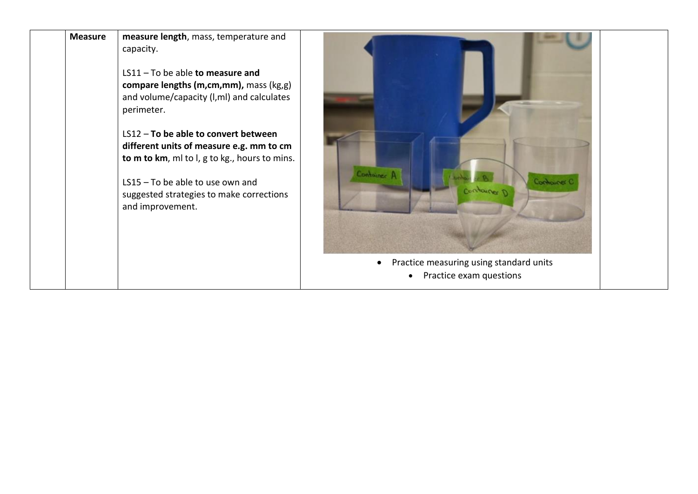| <b>Measure</b> | measure length, mass, temperature and<br>capacity.<br>LS11 - To be able to measure and<br>compare lengths (m,cm,mm), mass (kg,g)<br>and volume/capacity (I,mI) and calculates<br>perimeter.<br>LS12 - To be able to convert between<br>different units of measure e.g. mm to cm<br>to m to km, ml to l, g to kg., hours to mins.<br>LS15 - To be able to use own and<br>suggested strategies to make corrections<br>and improvement. | Container P<br>Conhainer C<br>antonne                                           |
|----------------|--------------------------------------------------------------------------------------------------------------------------------------------------------------------------------------------------------------------------------------------------------------------------------------------------------------------------------------------------------------------------------------------------------------------------------------|---------------------------------------------------------------------------------|
|                |                                                                                                                                                                                                                                                                                                                                                                                                                                      | Practice measuring using standard units<br>$\bullet$<br>Practice exam questions |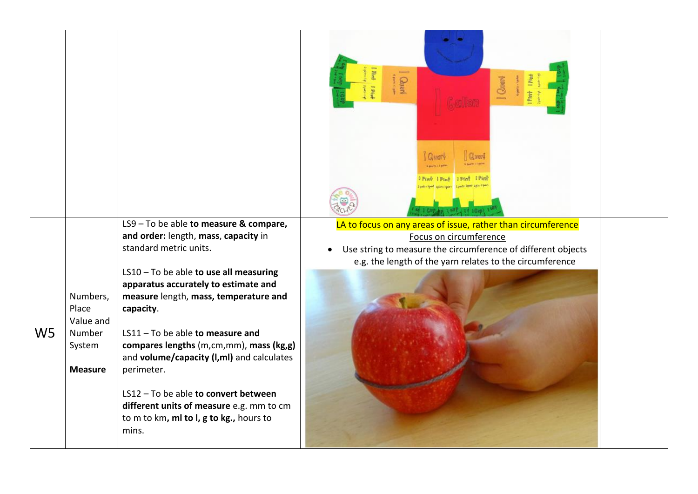|                                                                                        |                                                                                                                                                                                                                                                                                                                                                                                                                                                                                                                                      | <b>Chart</b><br><b>Count</b><br><b>Pint</b> [ Pint                                                                                                                                                                 |
|----------------------------------------------------------------------------------------|--------------------------------------------------------------------------------------------------------------------------------------------------------------------------------------------------------------------------------------------------------------------------------------------------------------------------------------------------------------------------------------------------------------------------------------------------------------------------------------------------------------------------------------|--------------------------------------------------------------------------------------------------------------------------------------------------------------------------------------------------------------------|
| Numbers,<br>Place<br>Value and<br>W <sub>5</sub><br>Number<br>System<br><b>Measure</b> | LS9 - To be able to measure & compare,<br>and order: length, mass, capacity in<br>standard metric units.<br>LS10 - To be able to use all measuring<br>apparatus accurately to estimate and<br>measure length, mass, temperature and<br>capacity.<br>$LS11 - To be able to measure and$<br>compares lengths (m,cm,mm), mass (kg,g)<br>and volume/capacity (I,mI) and calculates<br>perimeter.<br>LS12 - To be able to convert between<br>different units of measure e.g. mm to cm<br>to m to km, ml to l, g to kg., hours to<br>mins. | LA to focus on any areas of issue, rather than circumference<br>Focus on circumference<br>Use string to measure the circumference of different objects<br>e.g. the length of the yarn relates to the circumference |